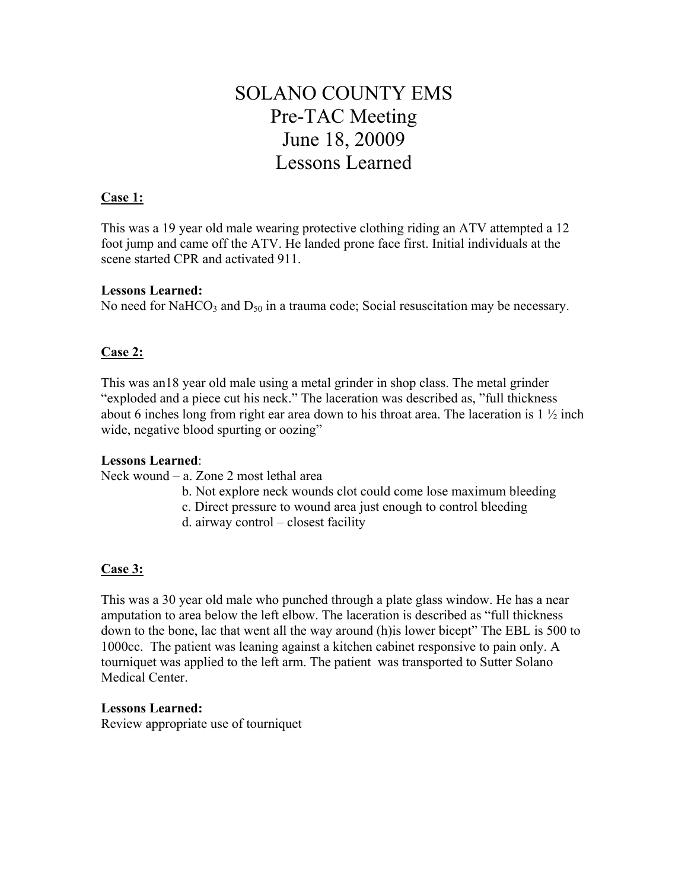# SOLANO COUNTY EMS Pre-TAC Meeting June 18, 20009 Lessons Learned

#### **Case 1:**

This was a 19 year old male wearing protective clothing riding an ATV attempted a 12 foot jump and came off the ATV. He landed prone face first. Initial individuals at the scene started CPR and activated 911.

#### **Lessons Learned:**

No need for NaHCO<sub>3</sub> and  $D_{50}$  in a trauma code; Social resuscitation may be necessary.

# **Case 2:**

This was an18 year old male using a metal grinder in shop class. The metal grinder "exploded and a piece cut his neck." The laceration was described as, "full thickness about 6 inches long from right ear area down to his throat area. The laceration is 1 ½ inch wide, negative blood spurting or oozing"

# **Lessons Learned**:

Neck wound – a. Zone 2 most lethal area

- b. Not explore neck wounds clot could come lose maximum bleeding
- c. Direct pressure to wound area just enough to control bleeding
- d. airway control closest facility

# **Case 3:**

This was a 30 year old male who punched through a plate glass window. He has a near amputation to area below the left elbow. The laceration is described as "full thickness down to the bone, lac that went all the way around (h)is lower bicept" The EBL is 500 to 1000cc. The patient was leaning against a kitchen cabinet responsive to pain only. A tourniquet was applied to the left arm. The patient was transported to Sutter Solano Medical Center.

#### **Lessons Learned:**

Review appropriate use of tourniquet